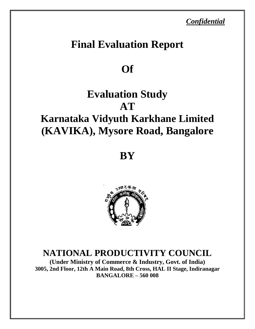*Confidential* 

# **Final Evaluation Report**

## **Of**

# **Evaluation Study AT**

# **Karnataka Vidyuth Karkhane Limited (KAVIKA), Mysore Road, Bangalore**

**BY**



## **NATIONAL PRODUCTIVITY COUNCIL**

**(Under Ministry of Commerce & Industry, Govt. of India) 3005, 2nd Floor, 12th A Main Road, 8th Cross, HAL II Stage, Indiranagar BANGALORE – 560 008**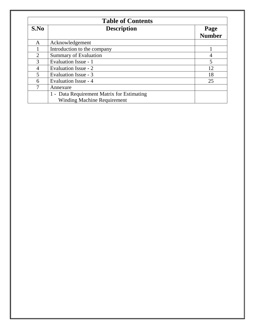|                | <b>Table of Contents</b>                                                         |                       |  |
|----------------|----------------------------------------------------------------------------------|-----------------------|--|
| S.No           | <b>Description</b>                                                               | Page<br><b>Number</b> |  |
| A              | Acknowledgement                                                                  |                       |  |
|                | Introduction to the company                                                      |                       |  |
| $\overline{2}$ | <b>Summary of Evaluation</b>                                                     |                       |  |
| 3              | Evaluation Issue - 1                                                             | 5                     |  |
| 4              | Evaluation Issue - 2                                                             | 12                    |  |
| 5              | Evaluation Issue - 3                                                             | 18                    |  |
| 6              | Evaluation Issue - 4                                                             | 25                    |  |
| 7              | Annexure                                                                         |                       |  |
|                | 1 - Data Requirement Matrix for Estimating<br><b>Winding Machine Requirement</b> |                       |  |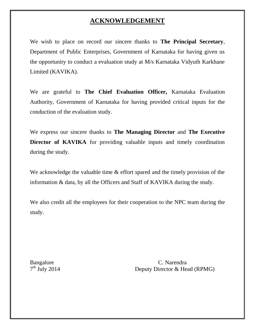#### **ACKNOWLEDGEMENT**

We wish to place on record our sincere thanks to **The Principal Secretary**, Department of Public Enterprises, Government of Karnataka for having given us the opportunity to conduct a evaluation study at M/s Karnataka Vidyuth Karkhane Limited (KAVIKA).

We are grateful to **The Chief Evaluation Officer,** Karnataka Evaluation Authority, Government of Karnataka for having provided critical inputs for the conduction of the evaluation study.

We express our sincere thanks to **The Managing Director** and **The Executive Director of KAVIKA** for providing valuable inputs and timely coordination during the study.

We acknowledge the valuable time  $\&$  effort spared and the timely provision of the information & data, by all the Officers and Staff of KAVIKA during the study.

We also credit all the employees for their cooperation to the NPC team during the study.

 $7<sup>th</sup>$  July 2014

Bangalore C. Narendra Deputy Director & Head (RPMG)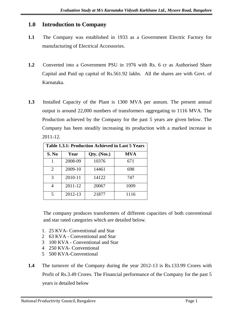#### **1.0 Introduction to Company**

- **1.1** The Company was established in 1933 as a Government Electric Factory for manufacturing of Electrical Accessories.
- **1.2** Converted into a Government PSU in 1976 with Rs. 6 cr as Authorised Share Capital and Paid up capital of Rs.561.92 lakhs. All the shares are with Govt. of Karnataka.
- **1.3** Installed Capacity of the Plant is 1300 MVA per annum. The present annual output is around 22,000 numbers of transformers aggregating to 1116 MVA. The Production achieved by the Company for the past 5 years are given below. The Company has been steadily increasing its production with a marked increase in 2011-12.

| Table 1.3.1: Production Achieved in Last 5 Years |         |             |            |
|--------------------------------------------------|---------|-------------|------------|
| S. No                                            | Year    | Qty. (Nos.) | <b>MVA</b> |
|                                                  | 2008-09 | 10376       | 671        |
| $\overline{2}$                                   | 2009-10 | 14461       | 698        |
| 3                                                | 2010-11 | 14122       | 747        |
|                                                  | 2011-12 | 20067       | 1009       |
| $\varsigma$                                      | 2012-13 | 21877       | 1116       |

The company produces transformers of different capacities of both conventional and star rated categories which are detailed below.

- 1. 25 KVA- Conventional and Star
- 2 63 KVA Conventional and Star
- 3 100 KVA Conventional and Star
- 4 250 KVA- Conventional
- 5 500 KVA-Conventional
- **1.4** The turnover of the Company during the year 2012-13 is Rs.133.99 Crores with Profit of Rs.3.49 Crores. The Financial performance of the Company for the past 5 years is detailed below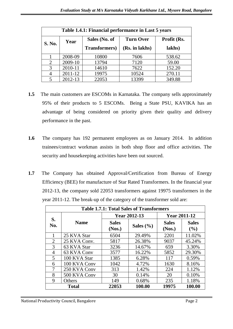| Table 1.4.1: Financial performance in Last 5 years |         |                       |                  |             |  |
|----------------------------------------------------|---------|-----------------------|------------------|-------------|--|
| <b>S. No.</b>                                      | Year    | Sales (No. of         | <b>Turn Over</b> | Profit (Rs. |  |
|                                                    |         | <b>Transformers</b> ) | (Rs. in lakhs)   | lakhs)      |  |
|                                                    | 2008-09 | 10800                 | 7606             | 538.62      |  |
| $\overline{2}$                                     | 2009-10 | 13794                 | 7120             | 59.00       |  |
| 3                                                  | 2010-11 | 14610                 | 7622             | 152.20      |  |
|                                                    | 2011-12 | 19975                 | 10524            | 270.11      |  |
|                                                    | 2012-13 | 22053                 | 13399            | 349.88      |  |

- **1.5** The main customers are ESCOMs in Karnataka. The company sells approximately 95% of their products to 5 ESCOMs. Being a State PSU, KAVIKA has an advantage of being considered on priority given their quality and delivery performance in the past.
- **1.6** The company has 192 permanent employees as on January 2014. In addition trainees/contract workman assists in both shop floor and office activities. The security and housekeeping activities have been out sourced.
- **1.7** The Company has obtained Approval/Certification from Bureau of Energy Efficiency (BEE) for manufacture of Star Rated Transformers. In the financial year 2012-13, the company sold 22053 transformers against 19975 transformers in the year 2011-12. The break-up of the category of the transformer sold are:

| <b>Table 1.7.1: Total Sales of Transformers</b> |              |                        |               |                        |                     |
|-------------------------------------------------|--------------|------------------------|---------------|------------------------|---------------------|
| S.<br>No.                                       | <b>Name</b>  | <b>Year 2012-13</b>    |               | <b>Year 2011-12</b>    |                     |
|                                                 |              | <b>Sales</b><br>(Nos.) | Sales $(\% )$ | <b>Sales</b><br>(Nos.) | <b>Sales</b><br>(%) |
|                                                 | 25 KVA Star  | 6504                   | 29.49%        | 2201                   | 11.02%              |
| $\overline{2}$                                  | 25 KVA Conv. | 5817                   | 26.38%        | 9037                   | 45.24%              |
| 3                                               | 63 KVA Star  | 3236                   | 14.67%        | 659                    | 3.30%               |
| 4                                               | 63 KVA Conv  | 3577                   | 16.22%        | 5852                   | 29.30%              |
| 5                                               | 100 KVA Star | 1385                   | 6.28%         | 117                    | 0.59%               |
| 6                                               | 100 KVA Conv | 1042                   | 4.72%         | 1630                   | 8.16%               |
| 7                                               | 250 KVA Conv | 313                    | 1.42%         | 224                    | 1.12%               |
| 8                                               | 500 KVA Conv | 30                     | 0.14%         | 20                     | 0.10%               |
| 9                                               | Others       | 149                    | 0.68%         | 235                    | 1.18%               |
|                                                 | <b>Total</b> | 22053                  | 100.00        | 19975                  | 100.00              |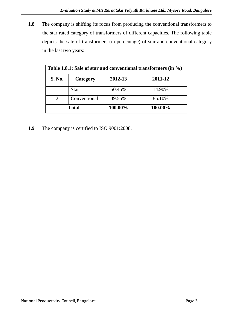**1.8** The company is shifting its focus from producing the conventional transformers to the star rated category of transformers of different capacities. The following table depicts the sale of transformers (in percentage) of star and conventional category in the last two years:

| Table 1.8.1: Sale of star and conventional transformers (in $\%$ ) |              |         |         |
|--------------------------------------------------------------------|--------------|---------|---------|
| <b>S. No.</b>                                                      | Category     | 2012-13 | 2011-12 |
|                                                                    | <b>Star</b>  | 50.45%  | 14.90%  |
| $\overline{2}$                                                     | Conventional | 49.55%  | 85.10%  |
|                                                                    | <b>Total</b> | 100.00% | 100.00% |

**1.9** The company is certified to ISO 9001:2008.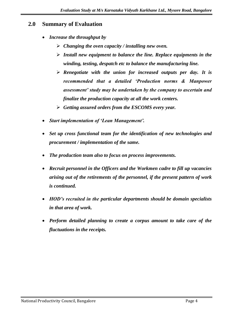#### **2.0 Summary of Evaluation**

- *Increase the throughput by*
	- *Changing the oven capacity / installing new oven.*
	- *Install new equipment to balance the line. Replace equipments in the winding, testing, despatch etc to balance the manufacturing line.*
	- *Renegotiate with the union for increased outputs per day. It is recommended that a detailed 'Production norms & Manpower assessment' study may be undertaken by the company to ascertain and finalize the production capacity at all the work centers.*
	- *Getting assured orders from the ESCOMS every year.*
- *Start implementation of 'Lean Management'.*
- *Set up cross functional team for the identification of new technologies and procurement / implementation of the same.*
- *The production team also to focus on process improvements.*
- *Recruit personnel in the Officers and the Workmen cadre to fill up vacancies arising out of the retirements of the personnel, if the present pattern of work is continued.*
- *HOD's recruited in the particular departments should be domain specialists in that area of work.*
- *Perform detailed planning to create a corpus amount to take care of the fluctuations in the receipts.*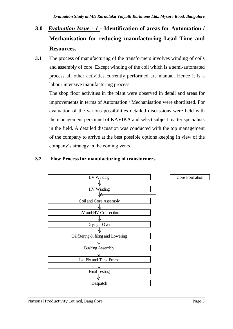- **3.0** *Evaluation Issue - 1* **- Identification of areas for Automation / Mechanisation for reducing manufacturing Lead Time and Resources.**
- **3.1** The process of manufacturing of the transformers involves winding of coils and assembly of core. Except winding of the coil which is a semi-automated process all other activities currently performed are manual. Hence it is a labour intensive manufacturing process.

The shop floor activities in the plant were observed in detail and areas for improvements in terms of Automation / Mechanisation were shortlisted. For evaluation of the various possibilities detailed discussions were held with the management personnel of KAVIKA and select subject matter specialists in the field. A detailed discussion was conducted with the top management of the company to arrive at the best possible options keeping in view of the company's strategy in the coming years.

#### **3.2 Flow Process for manufacturing of transformers**

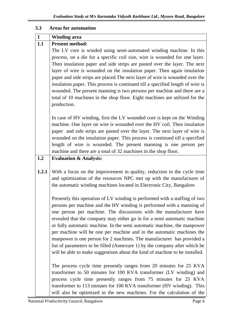#### **3.3 Areas for automation**

| $\mathbf{1}$ | <b>Winding area</b>                                                                                                                                                                                                                                                                                                                                                                                                                                                                                                                                                                                                                                                                                                                                                   |
|--------------|-----------------------------------------------------------------------------------------------------------------------------------------------------------------------------------------------------------------------------------------------------------------------------------------------------------------------------------------------------------------------------------------------------------------------------------------------------------------------------------------------------------------------------------------------------------------------------------------------------------------------------------------------------------------------------------------------------------------------------------------------------------------------|
| 1.1          | <b>Present method:</b>                                                                                                                                                                                                                                                                                                                                                                                                                                                                                                                                                                                                                                                                                                                                                |
|              | The LV core is winded using semi-automated winding machine. In this                                                                                                                                                                                                                                                                                                                                                                                                                                                                                                                                                                                                                                                                                                   |
|              | process, on a die for a specific coil size, wire is wounded for one layer.                                                                                                                                                                                                                                                                                                                                                                                                                                                                                                                                                                                                                                                                                            |
|              | Then insulation paper and side strips are pasted over the layer. The next                                                                                                                                                                                                                                                                                                                                                                                                                                                                                                                                                                                                                                                                                             |
|              | layer of wire is wounded on the insulation paper. Then again insulation                                                                                                                                                                                                                                                                                                                                                                                                                                                                                                                                                                                                                                                                                               |
|              | paper and side strips are placed. The next layer of wire is wounded over the                                                                                                                                                                                                                                                                                                                                                                                                                                                                                                                                                                                                                                                                                          |
|              | insulation paper. This process is continued till a specified length of wire is                                                                                                                                                                                                                                                                                                                                                                                                                                                                                                                                                                                                                                                                                        |
|              | wounded. The present manning is two persons per machine and there are a                                                                                                                                                                                                                                                                                                                                                                                                                                                                                                                                                                                                                                                                                               |
|              | total of 10 machines in the shop floor. Eight machines are utilized for the                                                                                                                                                                                                                                                                                                                                                                                                                                                                                                                                                                                                                                                                                           |
|              | production.                                                                                                                                                                                                                                                                                                                                                                                                                                                                                                                                                                                                                                                                                                                                                           |
|              | In case of HV winding, first the LV wounded core is kept on the Winding                                                                                                                                                                                                                                                                                                                                                                                                                                                                                                                                                                                                                                                                                               |
|              | machine. One layer on wire is wounded over the HV coil. Then insulation                                                                                                                                                                                                                                                                                                                                                                                                                                                                                                                                                                                                                                                                                               |
|              | paper and side strips are pasted over the layer. The next layer of wire is                                                                                                                                                                                                                                                                                                                                                                                                                                                                                                                                                                                                                                                                                            |
|              | wounded on the insulation paper. This process is continued till a specified                                                                                                                                                                                                                                                                                                                                                                                                                                                                                                                                                                                                                                                                                           |
|              | length of wire is wounded. The present manning is one person per                                                                                                                                                                                                                                                                                                                                                                                                                                                                                                                                                                                                                                                                                                      |
|              | machine and there are a total of 32 machines in the shop floor.                                                                                                                                                                                                                                                                                                                                                                                                                                                                                                                                                                                                                                                                                                       |
| 1.2          | <b>Evaluation &amp; Analysis:</b>                                                                                                                                                                                                                                                                                                                                                                                                                                                                                                                                                                                                                                                                                                                                     |
| 1.2.1        | With a focus on the improvement in quality, reduction in the cycle time<br>and optimization of the resources NPC met up with the manufacturer of<br>the automatic winding machines located in Electronic City, Bangalore.                                                                                                                                                                                                                                                                                                                                                                                                                                                                                                                                             |
|              | Presently this operation of LV winding is performed with a staffing of two<br>persons per machine and the HV winding is performed with a manning of<br>one person per machine. The discussions with the manufacturer have<br>revealed that the company may either go in for a semi automatic machine<br>or fully automatic machine. In the semi automatic machine, the manpower<br>per machine will be one per machine and in the automatic machines the<br>manpower is one person for 2 machines. The manufacturer has provided a<br>list of parameters to be filled (Annexure 1) by the company after which he<br>will be able to make suggestions about the kind of machine to be installed.<br>The process cycle time presently ranges from 20 minutes for 25 KVA |
|              | transformer to 50 minutes for 100 KVA transformer (LV winding) and<br>process cycle time presently ranges from 75 minutes for 25 KVA<br>transformer to 113 minutes for 100 KVA transformer (HV winding). This<br>will also be optimized in the new machines. For the calculation of the                                                                                                                                                                                                                                                                                                                                                                                                                                                                               |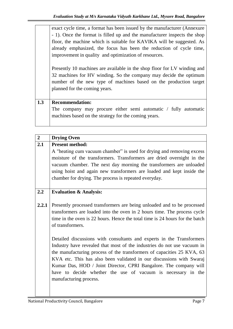exact cycle time, a format has been issued by the manufacturer (Annexure - 1). Once the format is filled up and the manufacturer inspects the shop floor, the machine which is suitable for KAVIKA will be suggested. As already emphasized, the focus has been the reduction of cycle time, improvement in quality and optimization of resources.

Presently 10 machines are available in the shop floor for LV winding and 32 machines for HV winding. So the company may decide the optimum number of the new type of machines based on the production target planned for the coming years.

#### **1.3 Recommendation:**

The company may procure either semi automatic / fully automatic machines based on the strategy for the coming years.

| $\overline{2}$ | <b>Drying Oven</b>                                                                                                                                                                                                                                                                                                                                                                                                                                                |
|----------------|-------------------------------------------------------------------------------------------------------------------------------------------------------------------------------------------------------------------------------------------------------------------------------------------------------------------------------------------------------------------------------------------------------------------------------------------------------------------|
| 2.1            | <b>Present method:</b><br>A "heating cum vacuum chamber" is used for drying and removing excess<br>moisture of the transformers. Transformers are dried overnight in the<br>vacuum chamber. The next day morning the transformers are unloaded<br>using hoist and again new transformers are loaded and kept inside the<br>chamber for drying. The process is repeated everyday.                                                                                  |
| 2.2            | <b>Evaluation &amp; Analysis:</b>                                                                                                                                                                                                                                                                                                                                                                                                                                 |
| 2.2.1          | Presently processed transformers are being unloaded and to be processed<br>transformers are loaded into the oven in 2 hours time. The process cycle<br>time in the oven is 22 hours. Hence the total time is 24 hours for the batch<br>of transformers.                                                                                                                                                                                                           |
|                | Detailed discussions with consultants and experts in the Transformers<br>Industry have revealed that most of the industries do not use vacuum in<br>the manufacturing process of the transformers of capacities 25 KVA, 63<br>KVA etc. This has also been validated in our discussions with Swaraj<br>Kumar Das, HOD / Joint Director, CPRI Bangalore. The company will<br>have to decide whether the use of vacuum is necessary in the<br>manufacturing process. |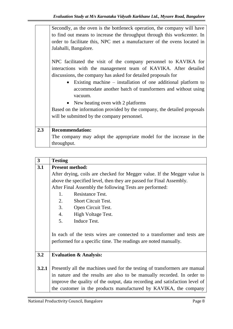| Secondly, as the oven is the bottleneck operation, the company will have<br>to find out means to increase the throughput through this workcenter. In<br>order to facilitate this, NPC met a manufacturer of the ovens located in<br>Jalahalli, Bangalore.<br>NPC facilitated the visit of the company personnel to KAVIKA for |
|-------------------------------------------------------------------------------------------------------------------------------------------------------------------------------------------------------------------------------------------------------------------------------------------------------------------------------|
| interactions with the management team of KAVIKA. After detailed<br>discussions, the company has asked for detailed proposals for<br>Existing machine $-$ installation of one additional platform to<br>$\bullet$<br>accommodate another batch of transformers and without using                                               |
| vacuum.<br>• New heating oven with 2 platforms                                                                                                                                                                                                                                                                                |
| Based on the information provided by the company, the detailed proposals<br>will be submitted by the company personnel.                                                                                                                                                                                                       |
| <b>Recommendation:</b><br>The company may adopt the appropriate model for the increase in the<br>throughput.                                                                                                                                                                                                                  |
|                                                                                                                                                                                                                                                                                                                               |

| $\mathbf{3}$ | <b>Testing</b>                                                              |  |  |
|--------------|-----------------------------------------------------------------------------|--|--|
| 3.1          | <b>Present method:</b>                                                      |  |  |
|              | After drying, coils are checked for Megger value. If the Megger value is    |  |  |
|              | above the specified level, then they are passed for Final Assembly.         |  |  |
|              | After Final Assembly the following Tests are performed:                     |  |  |
|              | <b>Resistance Test.</b><br>1.                                               |  |  |
|              | 2.<br><b>Short Citcuit Test.</b>                                            |  |  |
|              | 3. Open Circuit Test.                                                       |  |  |
|              | 4. High Voltage Test.                                                       |  |  |
|              | 5.<br>Induce Test.                                                          |  |  |
|              |                                                                             |  |  |
|              | In each of the tests wires are connected to a transformer and tests are     |  |  |
|              | performed for a specific time. The readings are noted manually.             |  |  |
|              |                                                                             |  |  |
| 3.2          | <b>Evaluation &amp; Analysis:</b>                                           |  |  |
|              |                                                                             |  |  |
| 3.2.1        | Presently all the machines used for the testing of transformers are manual  |  |  |
|              | in nature and the results are also to be manually recorded. In order to     |  |  |
|              | improve the quality of the output, data recording and satisfaction level of |  |  |
|              | the customer in the products manufactured by KAVIKA, the company            |  |  |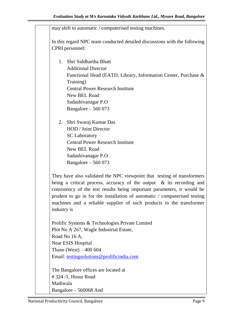|             | may shift to automatic / computerised testing machines.                                                                                            |
|-------------|----------------------------------------------------------------------------------------------------------------------------------------------------|
|             | In this regard NPC team conducted detailed discussions with the following                                                                          |
|             | CPRI personnel:                                                                                                                                    |
|             | 1. Shri Siddhartha Bhatt                                                                                                                           |
|             | <b>Additional Director</b>                                                                                                                         |
|             | Functional Head (EATD, Library, Information Center, Purchase &                                                                                     |
|             | Training)                                                                                                                                          |
|             | <b>Central Power Research Institute</b>                                                                                                            |
|             | New BEL Road                                                                                                                                       |
|             | Sadashivanagar P.O                                                                                                                                 |
|             | Bangalore $-560073$                                                                                                                                |
| 2.          | Shri Swaraj Kumar Das                                                                                                                              |
|             | HOD / Joint Director                                                                                                                               |
|             | <b>SC</b> Laboratory                                                                                                                               |
|             | <b>Central Power Research Institute</b>                                                                                                            |
|             | New BEL Road                                                                                                                                       |
|             | Sadashivanagar P.O                                                                                                                                 |
|             | Bangalore $-560073$                                                                                                                                |
|             | They have also validated the NPC viewpoint that testing of transformers                                                                            |
|             | being a critical process, accuracy of the output $\&$ its recording and<br>consistency of the test results being important parameters, it would be |
|             | prudent to go in for the installation of automatic / computerised testing                                                                          |
|             | machines and a reliable supplier of such products in the transformer                                                                               |
| industry is |                                                                                                                                                    |
|             | Prolific Systems & Technologies Private Limited                                                                                                    |
|             | Plot No A 267, Wagle Industrial Estate,                                                                                                            |
|             | Road No 16 A,                                                                                                                                      |
|             | <b>Near ESIS Hospital</b>                                                                                                                          |
|             | Thane (West) $-400604$                                                                                                                             |
|             | Email: testingsolutions@prolificindia.com                                                                                                          |
|             | The Bangalore offices are located at                                                                                                               |
|             | $\#$ 324 /1, Hosur Road                                                                                                                            |
| Madiwala    |                                                                                                                                                    |
|             | Bangalore – 560068 And                                                                                                                             |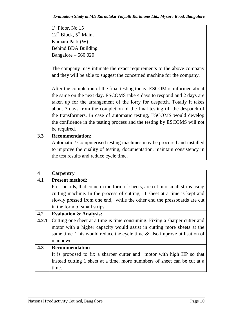|     | the test results and reduce cycle time.                                                                                                         |
|-----|-------------------------------------------------------------------------------------------------------------------------------------------------|
|     | to improve the quality of testing, documentation, maintain consistency in                                                                       |
|     | Automatic / Computerised testing machines may be procured and installed                                                                         |
| 3.3 | <b>Recommendation:</b>                                                                                                                          |
|     | be required.                                                                                                                                    |
|     | the confidence in the testing process and the testing by ESCOMS will not                                                                        |
|     | the transformers. In case of automatic testing, ESCOMS would develop                                                                            |
|     | about 7 days from the completion of the final testing till the despatch of                                                                      |
|     | taken up for the arrangement of the lorry for despatch. Totally it takes                                                                        |
|     | the same on the next day. ESCOMS take 4 days to respond and 2 days are                                                                          |
|     | After the completion of the final testing today, ESCOM is informed about                                                                        |
|     |                                                                                                                                                 |
|     | The company may intimate the exact requirements to the above company<br>and they will be able to suggest the concerned machine for the company. |
|     |                                                                                                                                                 |
|     | Bangalore $-560020$                                                                                                                             |
|     | <b>Behind BDA Building</b>                                                                                                                      |
|     | Kumara Park (W)                                                                                                                                 |
|     | $12^{th}$ Block, $5^{th}$ Main,                                                                                                                 |
|     | $1st$ Floor, No 15                                                                                                                              |

| $\overline{\mathbf{4}}$ | <b>Carpentry</b>                                                              |
|-------------------------|-------------------------------------------------------------------------------|
| 4.1                     | <b>Present method:</b>                                                        |
|                         | Pressboards, that come in the form of sheets, are cut into small strips using |
|                         | cutting machine. In the process of cutting, 1 sheet at a time is kept and     |
|                         | slowly pressed from one end, while the other end the pressboards are cut      |
|                         | in the form of small strips.                                                  |
| 4.2                     | <b>Evaluation &amp; Analysis:</b>                                             |
| 4.2.1                   | Cutting one sheet at a time is time consuming. Fixing a sharper cutter and    |
|                         | motor with a higher capacity would assist in cutting more sheets at the       |
|                         | same time. This would reduce the cycle time $\&$ also improve utilisation of  |
|                         | manpower                                                                      |
| 4.3                     | <b>Recommendation</b>                                                         |
|                         | It is proposed to fix a sharper cutter and motor with high HP so that         |
|                         | instead cutting 1 sheet at a time, more numnbers of sheet can be cut at a     |
|                         | time.                                                                         |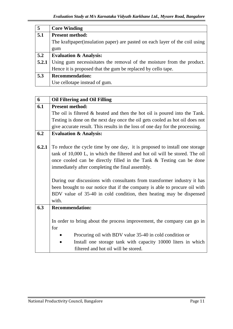| $\overline{5}$ | <b>Core Winding</b>                                                          |
|----------------|------------------------------------------------------------------------------|
| 5.1            | <b>Present method:</b>                                                       |
|                | The kraftpaper (insulation paper) are pasted on each layer of the coil using |
|                | gum                                                                          |
| 5.2            | <b>Evaluation &amp; Analysis:</b>                                            |
| 5.2.1          | Using gum necessistates the removal of the moisture from the product.        |
|                | Hence it is proposed that the gum be replaced by cello tape.                 |
| 5.3            | <b>Recommendation:</b>                                                       |
|                | Use cellotape instead of gum.                                                |

| 6     | <b>Oil Filtering and Oil Filling</b>                                          |  |  |  |  |
|-------|-------------------------------------------------------------------------------|--|--|--|--|
| 6.1   | <b>Present method:</b>                                                        |  |  |  |  |
|       | The oil is filtered $\&$ heated and then the hot oil is poured into the Tank. |  |  |  |  |
|       | Testing is done on the next day once the oil gets cooled as hot oil does not  |  |  |  |  |
|       | give accurate result. This results in the loss of one day for the processing. |  |  |  |  |
| 6.2   | <b>Evaluation &amp; Analysis:</b>                                             |  |  |  |  |
|       |                                                                               |  |  |  |  |
| 6.2.1 | To reduce the cycle time by one day, it is proposed to install one storage    |  |  |  |  |
|       | tank of 10,000 L, in which the filtered and hot oil will be stored. The oil   |  |  |  |  |
|       | once cooled can be directly filled in the Tank & Testing can be done          |  |  |  |  |
|       | immediately after completing the final assembly.                              |  |  |  |  |
|       |                                                                               |  |  |  |  |
|       | During our discussions with consultants from transformer industry it has      |  |  |  |  |
|       | been brought to our notice that if the company is able to procure oil with    |  |  |  |  |
|       | BDV value of 35-40 in cold condition, then heating may be dispensed           |  |  |  |  |
|       | with.                                                                         |  |  |  |  |
| 6.3   | <b>Recommendation:</b>                                                        |  |  |  |  |
|       |                                                                               |  |  |  |  |
|       | In order to bring about the process improvement, the company can go in        |  |  |  |  |
|       | for                                                                           |  |  |  |  |
|       | Procuring oil with BDV value 35-40 in cold condition or                       |  |  |  |  |
|       | Install one storage tank with capacity 10000 liters in which                  |  |  |  |  |
|       | filtered and hot oil will be stored.                                          |  |  |  |  |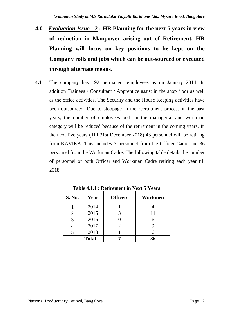- **4.0** *Evaluation Issue - 2* **: HR Planning for the next 5 years in view of reduction in Manpower arising out of Retirement. HR Planning will focus on key positions to be kept on the Company rolls and jobs which can be out-sourced or executed through alternate means.**
- **4.1** The company has 192 permanent employees as on January 2014. In addition Trainees / Consultant / Apprentice assist in the shop floor as well as the office activities. The Security and the House Keeping activities have been outsourced. Due to stoppage in the recruitment process in the past years, the number of employees both in the managerial and workman category will be reduced because of the retirement in the coming years. In the next five years (Till 31st December 2018) 43 personnel will be retiring from KAVIKA. This includes 7 personnel from the Officer Cadre and 36 personnel from the Workman Cadre. The following table details the number of personnel of both Officer and Workman Cadre retiring each year till 2018.

| Table 4.1.1 : Retirement in Next 5 Years |              |                       |         |  |  |  |  |
|------------------------------------------|--------------|-----------------------|---------|--|--|--|--|
| S. No.                                   | Year         | <b>Officers</b>       | Workmen |  |  |  |  |
|                                          | 2014         |                       |         |  |  |  |  |
| 2                                        | 2015         |                       | 11      |  |  |  |  |
| 3                                        | 2016         |                       |         |  |  |  |  |
|                                          | 2017         | $\mathcal{D}_{\cdot}$ |         |  |  |  |  |
|                                          | 2018         |                       |         |  |  |  |  |
|                                          | <b>Total</b> |                       | 36      |  |  |  |  |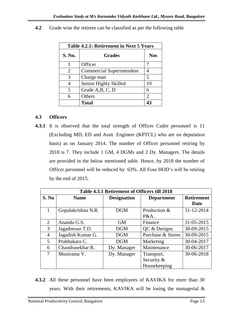| Table 4.2.1: Retirement in Next 5 Years |                                  |                             |  |  |  |
|-----------------------------------------|----------------------------------|-----------------------------|--|--|--|
| <b>S. No.</b>                           | <b>Grades</b>                    | <b>Nos</b>                  |  |  |  |
|                                         | Officer                          |                             |  |  |  |
| 2                                       | <b>Commercial Superintendent</b> |                             |  |  |  |
| 3                                       | Charge man                       | 5                           |  |  |  |
|                                         | Senior Highly Skilled            | 19                          |  |  |  |
| 5                                       | Grade A, B, C, D                 |                             |  |  |  |
| 6                                       | Others                           | $\mathcal{D}_{\mathcal{L}}$ |  |  |  |
|                                         | <b>Total</b>                     | 42                          |  |  |  |

**4.2** Grade wise the retirees can be classified as per the following table

#### **4.3 Officers**

**4.3.1** It is observed that the total strength of Officer Cadre personnel is 11 (Excluding MD, ED and Asstt. Engineer (KPTCL) who are on deputation basis) as on January 2014. The number of Officer personnel retiring by 2018 is 7. They include 1 GM, 4 DGMs and 2 Dy. Managers. The details are provided in the below mentioned table. Hence, by 2018 the number of Officer personnel will be reduced by 63%. All Four HOD's will be retiring by the end of 2015.

| Table 4.3.1 Retirement of Officers till 2018 |                                                        |             |                   |            |  |  |  |
|----------------------------------------------|--------------------------------------------------------|-------------|-------------------|------------|--|--|--|
| S. No                                        | <b>Designation</b><br><b>Name</b><br><b>Department</b> |             |                   |            |  |  |  |
|                                              |                                                        |             |                   | Date       |  |  |  |
|                                              | Gopalakrishna N.R.                                     | <b>DGM</b>  | Production &      | 31-12-2014 |  |  |  |
|                                              |                                                        |             | P&A.              |            |  |  |  |
| 2                                            | Ananda G.S.                                            | <b>GM</b>   | Finance           | 31-05-2015 |  |  |  |
| 3                                            | Jagadeesan T.D.                                        | <b>DGM</b>  | QC & Designs      | 30-09-2015 |  |  |  |
| $\overline{4}$                               | Jagadish Kumar G.                                      | <b>DGM</b>  | Purchase & Stores | 30-09-2015 |  |  |  |
| 5                                            | Prabhakara C.                                          | <b>DGM</b>  | Marketing         | 30-04-2017 |  |  |  |
| 6                                            | Chandrasekhar R.                                       | Dy. Manager | Maintenance       | 30-06-2017 |  |  |  |
| 7                                            | Munirama V.                                            | Dy. Manager | Transport,        | 30-06-2018 |  |  |  |
|                                              |                                                        |             | Security $&$      |            |  |  |  |
|                                              |                                                        |             | Housekeeping      |            |  |  |  |

**4.3.2** All these personnel have been employees of KAVIKA for more than 30 years. With their retirements, KAVIKA will be losing the managerial &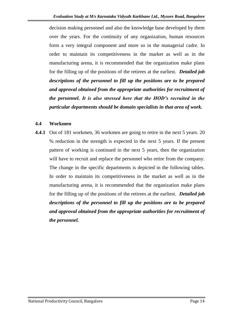decision making personnel and also the knowledge base developed by them over the years. For the continuity of any organization, human resources form a very integral component and more so in the managerial cadre. In order to maintain its competitiveness in the market as well as in the manufacturing arena, it is recommended that the organization make plans for the filling up of the positions of the retirees at the earliest. *Detailed job descriptions of the personnel to fill up the positions are to be prepared and approval obtained from the appropriate authorities for recruitment of the personnel. It is also stressed here that the HOD's recruited in the particular departments should be domain specialists in that area of work.* 

#### **4.4 Workmen**

**4.4.1** Out of 181 workmen, 36 workmen are going to retire in the next 5 years. 20 % reduction in the strength is expected in the next 5 years. If the present pattern of working is continued in the next 5 years, then the organization will have to recruit and replace the personnel who retire from the company. The change in the specific departments is depicted in the following tables. In order to maintain its competitiveness in the market as well as in the manufacturing arena, it is recommended that the organization make plans for the filling up of the positions of the retirees at the earliest. *Detailed job descriptions of the personnel to fill up the positions are to be prepared and approval obtained from the appropriate authorities for recruitment of the personnel.*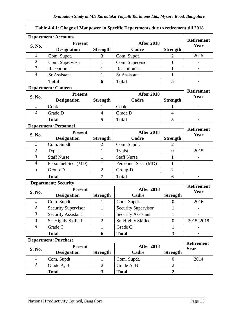| Table 4.4.1: Chage of Manpower in Specific Departments due to retirement till 2018 |                              |                         |                            |                         |                           |  |  |  |
|------------------------------------------------------------------------------------|------------------------------|-------------------------|----------------------------|-------------------------|---------------------------|--|--|--|
|                                                                                    | <b>Department: Accounts</b>  |                         |                            |                         |                           |  |  |  |
|                                                                                    | <b>Present</b>               |                         | <b>After 2018</b>          |                         | <b>Retirement</b><br>Year |  |  |  |
| S. No.                                                                             | <b>Designation</b>           | <b>Strength</b>         | Cadre                      | <b>Strength</b>         |                           |  |  |  |
| 1                                                                                  | Com. Supdt.                  | 3                       | Com. Supdt.                | $\overline{2}$          | 2015                      |  |  |  |
| $\overline{2}$                                                                     | Com. Supervisor              | 1                       | Com. Supervisor            | $\mathbf{1}$            |                           |  |  |  |
| $\overline{3}$                                                                     | Receptionist                 | $\mathbf{1}$            | Receptionist               | $\mathbf{1}$            |                           |  |  |  |
| $\overline{4}$                                                                     | <b>Sr Assistant</b>          | $\mathbf{1}$            | <b>Sr Assistant</b>        | $\mathbf{1}$            |                           |  |  |  |
|                                                                                    | <b>Total</b>                 | 6                       | <b>Total</b>               | 5                       |                           |  |  |  |
| <b>Department: Canteen</b>                                                         |                              |                         |                            |                         |                           |  |  |  |
| <b>S. No.</b>                                                                      | <b>Present</b>               |                         | <b>After 2018</b>          |                         | <b>Retirement</b><br>Year |  |  |  |
|                                                                                    | <b>Designation</b>           | <b>Strength</b>         | Cadre                      | <b>Strength</b>         |                           |  |  |  |
| 1                                                                                  | Cook                         | 1                       | Cook                       | T                       |                           |  |  |  |
| $\overline{2}$                                                                     | Grade D                      | $\overline{4}$          | Grade D                    | $\overline{4}$          |                           |  |  |  |
|                                                                                    | <b>Total</b>                 | 5                       | <b>Total</b>               | 5                       |                           |  |  |  |
|                                                                                    | <b>Department: Personnel</b> |                         |                            |                         | <b>Retirement</b>         |  |  |  |
| S. No.                                                                             | <b>Present</b>               |                         | <b>After 2018</b>          |                         | Year                      |  |  |  |
|                                                                                    | <b>Designation</b>           | <b>Strength</b>         | Cadre                      | <b>Strength</b>         |                           |  |  |  |
| 1                                                                                  | Com. Supdt.                  | $\overline{2}$          | Com. Supdt.                | $\overline{2}$          |                           |  |  |  |
| $\mathbf{2}$                                                                       | Typist                       | $\mathbf{1}$            | Typist                     | $\overline{0}$          | 2015                      |  |  |  |
| 3                                                                                  | <b>Staff Nurse</b>           | $\mathbf{1}$            | <b>Staff Nurse</b>         | $\mathbf{1}$            |                           |  |  |  |
| $\overline{4}$                                                                     | Personnel Sec. (MD)          | 1                       | Personnel Sec. (MD)        | $\mathbf{1}$            |                           |  |  |  |
| 5                                                                                  | Group-D                      | $\overline{2}$          | Group-D                    | $\overline{2}$          |                           |  |  |  |
|                                                                                    | <b>Total</b>                 | 7                       | <b>Total</b>               | 6                       |                           |  |  |  |
|                                                                                    | <b>Department: Security</b>  |                         |                            |                         | <b>Retirement</b>         |  |  |  |
| S. No.                                                                             | <b>Present</b>               |                         | <b>After 2018</b>          |                         | Year                      |  |  |  |
|                                                                                    | <b>Designation</b>           | <b>Strength</b>         | Cadre                      | <b>Strength</b>         |                           |  |  |  |
| 1                                                                                  | Com. Supdt.                  | $\mathbf{1}$            | Com. Supdt.                | $\boldsymbol{0}$        | 2016                      |  |  |  |
| $\overline{2}$                                                                     | <b>Security Supervisor</b>   | 1                       | <b>Security Supervisor</b> | 1                       |                           |  |  |  |
| 3                                                                                  | <b>Security Assistant</b>    | $\mathbf{1}$            | <b>Security Assistant</b>  | $\mathbf{1}$            |                           |  |  |  |
| $\overline{4}$                                                                     | Sr. Highly Skilled           | $\overline{2}$          | Sr. Highly Skilled         | $\mathbf{0}$            | 2015, 2018                |  |  |  |
| 5                                                                                  | Grade C                      | $\mathbf{1}$            | Grade C                    | $\mathbf{1}$            |                           |  |  |  |
|                                                                                    | <b>Total</b>                 | 6                       | <b>Total</b>               | $\overline{\mathbf{3}}$ |                           |  |  |  |
|                                                                                    | <b>Department: Purchase</b>  |                         |                            |                         | <b>Retirement</b>         |  |  |  |
| S. No.                                                                             | <b>Present</b>               |                         | <b>After 2018</b>          |                         | Year                      |  |  |  |
|                                                                                    | <b>Designation</b>           | <b>Strength</b>         | Cadre                      | <b>Strength</b>         |                           |  |  |  |
| $\mathbf{1}$                                                                       | Com. Supdt.                  | 1                       | Com. Supdt.                | $\overline{0}$          | 2014                      |  |  |  |
| $\mathbf{2}$                                                                       | Grade A, B                   | $\overline{2}$          | Grade A, B                 | $\mathfrak{2}$          | -                         |  |  |  |
|                                                                                    | <b>Total</b>                 | $\overline{\mathbf{3}}$ | <b>Total</b>               | $\overline{2}$          |                           |  |  |  |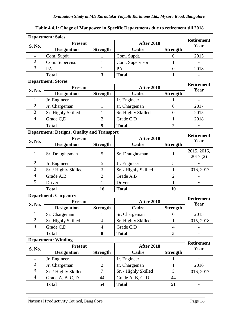| Table 4.4.1: Chage of Manpower in Specific Departments due to retirement till 2018 |                                                   |                 |                      |                 |                           |  |
|------------------------------------------------------------------------------------|---------------------------------------------------|-----------------|----------------------|-----------------|---------------------------|--|
|                                                                                    | <b>Department: Sales</b>                          |                 |                      |                 |                           |  |
|                                                                                    | <b>Present</b>                                    |                 | <b>After 2018</b>    |                 | <b>Retirement</b><br>Year |  |
| S. No.                                                                             | <b>Designation</b>                                | <b>Strength</b> | Cadre                | <b>Strength</b> |                           |  |
| $\mathbf{1}$                                                                       | Com. Supdt.                                       | 1               | Com. Supdt.          | $\overline{0}$  | 2015                      |  |
| $\overline{2}$                                                                     | Com. Supervisor                                   | $\mathbf{1}$    | Com. Supervisor      | $\mathbf{1}$    |                           |  |
| $\overline{3}$                                                                     | PA                                                | $\mathbf{1}$    | PA                   | $\overline{0}$  | 2018                      |  |
|                                                                                    | <b>Total</b>                                      | 3               | <b>Total</b>         | $\mathbf{1}$    |                           |  |
| <b>Department: Stores</b>                                                          |                                                   |                 |                      |                 |                           |  |
| <b>Present</b><br>S. No.                                                           |                                                   |                 | <b>After 2018</b>    |                 | <b>Retirement</b><br>Year |  |
|                                                                                    | <b>Designation</b>                                | <b>Strength</b> | Cadre                | <b>Strength</b> |                           |  |
| $\mathbf{1}$                                                                       | Jr. Engineer                                      | $\mathbf{1}$    | Jr. Engineer         | 1               | $\overline{\phantom{0}}$  |  |
| $\overline{2}$                                                                     | Jr. Chargeman                                     | $\mathbf{1}$    | Jr. Chargeman        | $\overline{0}$  | 2017                      |  |
| 3                                                                                  | Sr. Highly Skilled                                | $\mathbf{1}$    | Sr. Highly Skilled   | $\overline{0}$  | 2015                      |  |
| $\overline{4}$                                                                     | Grade C,D                                         | $\overline{2}$  | Grade C,D            | $\mathbf{1}$    | 2018                      |  |
|                                                                                    | <b>Total</b>                                      | 5               | <b>Total</b>         | $\overline{2}$  |                           |  |
|                                                                                    | <b>Department: Designs, Quality and Transport</b> |                 |                      |                 |                           |  |
|                                                                                    | <b>Present</b>                                    |                 | <b>After 2018</b>    |                 | <b>Retirement</b><br>Year |  |
| S. No.                                                                             | <b>Designation</b>                                | <b>Strength</b> | Cadre                | <b>Strength</b> |                           |  |
| $\mathbf{1}$                                                                       | Sr. Draughtsman                                   | 5               | Sr. Draughtsman      | 1               | 2015, 2016,<br>2017(2)    |  |
| $\overline{2}$                                                                     | Jr. Engineer                                      | 5               | Jr. Engineer         | 5               |                           |  |
| 3                                                                                  | Sr. / Highly Skilled                              | 3               | Sr. / Highly Skilled | $\mathbf{1}$    | 2016, 2017                |  |
| $\overline{4}$                                                                     | Grade A,B                                         | $\overline{2}$  | Grade A,B            | $\overline{2}$  |                           |  |
| 5                                                                                  | Driver                                            | $\mathbf{1}$    | Driver               | $\mathbf{1}$    |                           |  |
|                                                                                    | <b>Total</b>                                      | 16              | <b>Total</b>         | 10              | $\qquad \qquad -$         |  |
|                                                                                    | <b>Department: Carpentry</b>                      |                 |                      |                 |                           |  |
| S. No.                                                                             | <b>Present</b>                                    |                 | <b>After 2018</b>    |                 | <b>Retirement</b><br>Year |  |
|                                                                                    | <b>Designation</b>                                | <b>Strength</b> | Cadre                | <b>Strength</b> |                           |  |
| $\mathbf{1}$                                                                       | Sr. Chargeman                                     | $\mathbf{1}$    | Sr. Chargeman        | $\theta$        | 2015                      |  |
| $\overline{2}$                                                                     | Sr. Highly Skilled                                | 3               | Sr. Highly Skilled   | $\mathbf{1}$    | 2015, 2018                |  |
| 3                                                                                  | Grade C,D                                         | $\overline{4}$  | Grade C,D            | $\overline{4}$  |                           |  |
|                                                                                    | <b>Total</b>                                      | 8               | <b>Total</b>         | 5               |                           |  |
|                                                                                    | <b>Department: Winding</b>                        |                 |                      |                 |                           |  |
| S. No.                                                                             | <b>Present</b>                                    |                 | <b>After 2018</b>    |                 | <b>Retirement</b><br>Year |  |
|                                                                                    | <b>Designation</b>                                | <b>Strength</b> | Cadre                | <b>Strength</b> |                           |  |
| $\mathbf{1}$                                                                       | Jr. Engineer                                      | 1               | Jr. Engineer         | 1               |                           |  |
| $\mathbf{2}$                                                                       | Jr. Chargeman                                     | $\overline{2}$  | Jr. Chargeman        | $\mathbf{1}$    | 2016                      |  |
| 3                                                                                  | Sr. / Highly Skilled                              | $\overline{7}$  | Sr. / Highly Skilled | 5               | 2016, 2017                |  |
| $\overline{4}$                                                                     | Grade A, B, C, D                                  | 44              | Grade A, B, C, D     | 44              |                           |  |
|                                                                                    | <b>Total</b>                                      | 54              | <b>Total</b>         | 51              |                           |  |
|                                                                                    |                                                   |                 |                      |                 |                           |  |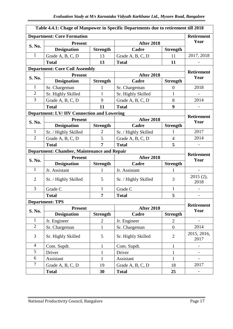| Table 4.4.1: Chage of Manpower in Specific Departments due to retirement till 2018 |                                                    |                 |                      |                 |                           |  |  |
|------------------------------------------------------------------------------------|----------------------------------------------------|-----------------|----------------------|-----------------|---------------------------|--|--|
|                                                                                    | <b>Department: Core Formation</b>                  |                 |                      |                 | <b>Retirement</b>         |  |  |
|                                                                                    | <b>Present</b>                                     |                 | <b>After 2018</b>    |                 | Year                      |  |  |
| S. No.                                                                             | <b>Designation</b>                                 | <b>Strength</b> | Cadre                | <b>Strength</b> |                           |  |  |
| $\mathbf{1}$                                                                       | Grade A, B, C, D                                   | 13              | Grade A, B, C, D     | 11              | 2017, 2018                |  |  |
|                                                                                    | <b>Total</b>                                       | 13              | <b>Total</b>         | 11              |                           |  |  |
|                                                                                    | <b>Department: Core Coil Assembly</b>              |                 |                      |                 |                           |  |  |
|                                                                                    | <b>Present</b><br>S. No.                           |                 | <b>After 2018</b>    |                 | <b>Retirement</b><br>Year |  |  |
|                                                                                    | <b>Designation</b>                                 | <b>Strength</b> | Cadre                | <b>Strength</b> |                           |  |  |
| $\mathbf{1}$                                                                       | Sr. Chargeman                                      | 1               | Sr. Chargeman        | $\theta$        | 2018                      |  |  |
| $\overline{2}$                                                                     | Sr. Highly Skilled                                 | $\mathbf{1}$    | Sr. Highly Skilled   | $\mathbf{1}$    |                           |  |  |
| 3                                                                                  | Grade A, B, C, D                                   | 9               | Grade A, B, C, D     | 8               | 2014                      |  |  |
|                                                                                    | <b>Total</b>                                       | 11              | <b>Total</b>         | 9               |                           |  |  |
|                                                                                    | <b>Department: LV/HV Connection and Lowering</b>   |                 |                      |                 | <b>Retirement</b>         |  |  |
| S. No.                                                                             | <b>Present</b>                                     |                 | <b>After 2018</b>    |                 | Year                      |  |  |
|                                                                                    | <b>Designation</b>                                 | <b>Strength</b> | Cadre                | <b>Strength</b> |                           |  |  |
| $\mathbf{1}$                                                                       | Sr. / Highly Skilled                               | $\overline{2}$  | Sr. / Highly Skilled | 1               | 2017                      |  |  |
| $\overline{2}$                                                                     | Grade A, B, C, D                                   | 5               | Grade A, B, C, D     | $\overline{4}$  | 2014                      |  |  |
|                                                                                    | <b>Total</b>                                       | 7               | <b>Total</b>         | 5               |                           |  |  |
|                                                                                    | <b>Department: Chamber, Maintenance and Repair</b> |                 |                      |                 |                           |  |  |
|                                                                                    |                                                    |                 |                      |                 |                           |  |  |
|                                                                                    | <b>Present</b>                                     |                 | <b>After 2018</b>    |                 | <b>Retirement</b>         |  |  |
| S. No.                                                                             | <b>Designation</b>                                 | <b>Strength</b> | Cadre                | <b>Strength</b> | Year                      |  |  |
| $\mathbf{1}$                                                                       | Jr. Assistant                                      | 1               | Jr. Assistant        | 1               | $\overline{\phantom{a}}$  |  |  |
| $\overline{2}$                                                                     | Sr. / Highly Skilled                               | 5               | Sr. / Highly Skilled | 3               | 2015 (2),<br>2018         |  |  |
| 3                                                                                  | Grade C                                            | 1               | Grade C              | 1               |                           |  |  |
|                                                                                    | <b>Total</b>                                       | 7               | <b>Total</b>         | 5               | $\overline{\phantom{a}}$  |  |  |
|                                                                                    | <b>Department: TPS</b>                             |                 |                      |                 |                           |  |  |
|                                                                                    | <b>Present</b>                                     |                 | <b>After 2018</b>    |                 | <b>Retirement</b>         |  |  |
| S. No.                                                                             | <b>Designation</b>                                 | <b>Strength</b> | Cadre                | <b>Strength</b> | Year                      |  |  |
| $\mathbf{1}$                                                                       | Jr. Engineer                                       | $\overline{2}$  | Jr. Engineer         | $\overline{2}$  |                           |  |  |
| $\mathbf{2}$                                                                       | Sr. Chargeman                                      | $\mathbf{1}$    | Sr. Chargeman        | $\overline{0}$  | 2014                      |  |  |
| 3                                                                                  | Sr. Highly Skilled                                 | 5               | Sr. Highly Skilled   | $\overline{2}$  | 2015, 2016,<br>2017       |  |  |
| $\overline{4}$                                                                     | Com. Supdt.                                        | $\mathbf{1}$    | Com. Supdt.          | $\mathbf{1}$    |                           |  |  |
| 5                                                                                  | Driver                                             | $\mathbf{1}$    | Driver               | $\mathbf{1}$    | $\overline{\phantom{a}}$  |  |  |
| 6                                                                                  | Assistant                                          | $\mathbf{1}$    | Assistant            | $\mathbf{1}$    |                           |  |  |
| $\tau$                                                                             | Grade A, B, C, D                                   | 19              | Grade A, B, C, D     | 18              | 2017                      |  |  |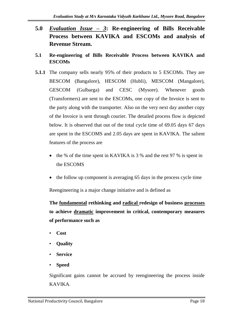- **5.0** *Evaluation Issue – 3***: Re-engineering of Bills Receivable Process between KAVIKA and ESCOMs and analysis of Revenue Stream.**
- **5.1 Re-engineering of Bills Receivable Process between KAVIKA and ESCOMs**
- **5.1.1** The company sells nearly 95% of their products to 5 ESCOMs. They are BESCOM (Bangalore), HESCOM (Hubli), MESCOM (Mangalore), GESCOM (Gulbarga) and CESC (Mysore). Whenever goods (Transformers) are sent to the ESCOMs, one copy of the Invoice is sent to the party along with the transporter. Also on the very next day another copy of the Invoice is sent through courier. The detailed process flow is depicted below. It is observed that out of the total cycle time of 69.05 days 67 days are spent in the ESCOMS and 2.05 days are spent in KAVIKA. The salient features of the process are
	- the % of the time spent in KAVIKA is  $3%$  and the rest 97 % is spent in the ESCOMS
	- the follow up component is averaging 65 days in the process cycle time

Reengineering is a major change initiative and is defined as

**The fundamental rethinking and radical redesign of business processes to achieve dramatic improvement in critical, contemporary measures of performance such as**

- **Cost**
- **Quality**
- **Service**
- **Speed**

Significant gains cannot be accrued by reengineering the process inside KAVIKA.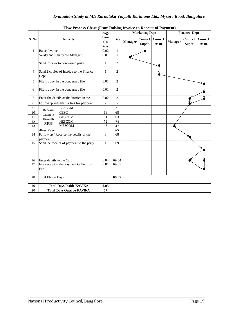|                | Flow Process Chart (From Raising Invoice to Receipt of Payment) |                                         |                      |                |         |                       |                   |         |                     |                           |
|----------------|-----------------------------------------------------------------|-----------------------------------------|----------------------|----------------|---------|-----------------------|-------------------|---------|---------------------|---------------------------|
|                |                                                                 |                                         | Avg.                 |                |         | <b>Marketing Dept</b> |                   |         | <b>Finance Dept</b> |                           |
| S. No.         |                                                                 | Activity                                | Time<br>(in<br>Days) | Day            | Manager | Comrcl.<br>Supdt.     | Comrcl.<br>Asstt. | Manager | Supdt.              | Comrel. Comrel.<br>Asstt. |
| $\mathbf{1}$   | Raise Invoice                                                   |                                         | 0.02                 | $\mathbf{1}$   |         |                       |                   |         |                     |                           |
| $\overline{2}$ |                                                                 | Verify and sign by the Manager          | 0.01                 | $\mathbf{1}$   | f       |                       |                   |         |                     |                           |
| 3              |                                                                 | Send Courier to concerned party         | $\mathbf{1}$         | $\overline{c}$ |         |                       |                   |         |                     |                           |
| 4              | Dept.                                                           | Send 2 copies of Invoice to the Finance | $\mathbf{1}$         | $\overline{c}$ |         |                       |                   |         |                     |                           |
| 5              |                                                                 | File 1 copy in the concerned file       | 0.01                 | $\overline{c}$ |         |                       |                   |         |                     |                           |
| 6              |                                                                 | File 1 copy in the concerned file       | 0.01                 | $\overline{c}$ |         |                       |                   |         |                     |                           |
| 7              |                                                                 | Enter the details of the Invoice in the | 0.02                 | $\overline{c}$ |         |                       |                   |         |                     |                           |
| 8              |                                                                 | Follow up with the Parties for payment  |                      | $\overline{a}$ |         |                       |                   |         |                     |                           |
| 9              | Receive                                                         | <b>BESCOM</b>                           | 69                   | 71             |         |                       |                   |         |                     |                           |
| 10             |                                                                 | <b>CESC</b>                             | 66                   | 68             |         |                       |                   |         |                     |                           |
| 11             | payment<br>through                                              | <b>GESCOM</b>                           | 61                   | 63             |         |                       |                   |         |                     |                           |
| 12             | <b>RTGS</b>                                                     | <b>HESCOM</b>                           | 72                   | 74             |         |                       |                   |         |                     |                           |
| 13             |                                                                 | <b>MESCOM</b>                           | 45                   | 47             |         |                       |                   |         |                     |                           |
|                | <b>After Payent</b>                                             |                                         |                      | 65             |         |                       |                   |         |                     |                           |
| 14             | pavment                                                         | Follow up / Receive the details of the  | 3                    | 68             |         |                       |                   |         |                     |                           |
| 15             | Send the receipt of payment to the party                        |                                         | $\mathbf{1}$         | 69             |         |                       |                   |         |                     |                           |
| 16             | Enter details in the Card                                       |                                         | 0.04                 | 69.04          |         |                       |                   |         |                     |                           |
| 17             | File receipt in the Payment Collection<br>File                  |                                         | 0.01                 | 69.05          |         |                       |                   |         |                     |                           |
| 18             | <b>Total Elaspe Days</b>                                        |                                         |                      | 69.05          |         |                       |                   |         |                     |                           |
| 19             |                                                                 | <b>Total Days Inside KAVIKA</b>         | 2.05                 |                |         |                       |                   |         |                     |                           |
| 20             |                                                                 | <b>Total Days Outside KAVIKA</b>        | 67                   |                |         |                       |                   |         |                     |                           |
|                |                                                                 |                                         |                      |                |         |                       |                   |         |                     |                           |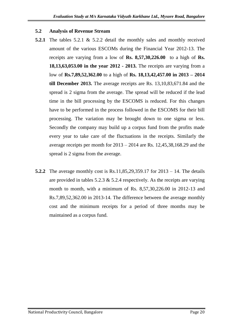#### **5.2 Analysis of Revenue Stream**

- **5.2.1** The tables 5.2.1 & 5.2.2 detail the monthly sales and monthly received amount of the various ESCOMs during the Financial Year 2012-13. The receipts are varying from a low of **Rs. 8,57,30,226.00** to a high of **Rs. 18,13,63,053.00 in the year 2012 - 2013.** The receipts are varying from a low of **Rs.7,89,52,362.00** to a high of **Rs. 18,13,42,457.00 in 2013 – 2014 till December 2013.** The average receipts are Rs. 13,10,83,671.84 and the spread is 2 sigma from the average. The spread will be reduced if the lead time in the bill processing by the ESCOMS is reduced. For this changes have to be performed in the process followed in the ESCOMS for their bill processing. The variation may be brought down to one sigma or less. Secondly the company may build up a corpus fund from the profits made every year to take care of the fluctuations in the receipts. Similarly the average receipts per month for 2013 – 2014 are Rs. 12,45,38,168.29 and the spread is 2 sigma from the average.
- **5.2.2** The average monthly cost is Rs.11,85,29,359.17 for 2013 14. The details are provided in tables  $5.2.3 \& 5.2.4$  respectively. As the receipts are varying month to month, with a minimum of Rs. 8,57,30,226.00 in 2012-13 and Rs.7,89,52,362.00 in 2013-14. The difference between the average monthly cost and the minimum receipts for a period of three months may be maintained as a corpus fund.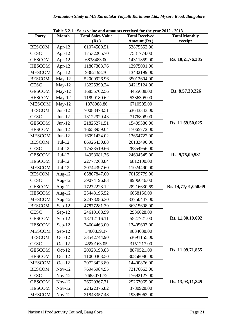| Table 5.2.1 : Sales value and amounts received for the year 2012 - 2013 |              |                          |                       |                      |  |  |  |
|-------------------------------------------------------------------------|--------------|--------------------------|-----------------------|----------------------|--|--|--|
| Party                                                                   | <b>Month</b> | <b>Total Sales Value</b> | <b>Total Received</b> | <b>Total Monthly</b> |  |  |  |
|                                                                         |              | (Rs.)                    | Amount (Rs.)          | receipt              |  |  |  |
| <b>BESCOM</b>                                                           | Apr-12       | 61074500.51              | 53875552.00           |                      |  |  |  |
| <b>CESC</b>                                                             | Apr- $12$    | 17532205.70              | 7581774.00            |                      |  |  |  |
| <b>GESCOM</b>                                                           | Apr- $12$    | 6838483.00               | 14311859.00           | Rs. 10,21,76,385     |  |  |  |
| <b>HESCOM</b>                                                           | Apr- $12$    | 11807303.76              | 12975001.00           |                      |  |  |  |
| <b>MESCOM</b>                                                           | Apr-12       | 9362198.70               | 13432199.00           |                      |  |  |  |
| <b>BESCOM</b>                                                           | $May-12$     | 52000926.96              | 35012604.00           |                      |  |  |  |
| <b>CESC</b>                                                             | $May-12$     | 13225399.24              | 34215124.00           |                      |  |  |  |
| <b>GESCOM</b>                                                           | $May-12$     | 16855702.56              | 4455688.00            | Rs. 8,57,30,226      |  |  |  |
| <b>HESCOM</b>                                                           | $May-12$     | 11890180.62              | 5336305.00            |                      |  |  |  |
| <b>MESCOM</b>                                                           | $May-12$     | 1378088.86               | 6710505.00            |                      |  |  |  |
| <b>BESCOM</b>                                                           | $Jun-12$     | 70088478.51              | 63643343.00           |                      |  |  |  |
| <b>CESC</b>                                                             | $Jun-12$     | 13122929.43              | 7176808.00            |                      |  |  |  |
| <b>GESCOM</b>                                                           | $Jun-12$     | 21825271.51              | 15409380.00           | Rs. 11,69,50,025     |  |  |  |
| <b>HESCOM</b>                                                           | $Jun-12$     | 16653959.04              | 17065772.00           |                      |  |  |  |
| <b>MESCOM</b>                                                           | $Jun-12$     | 16091434.02              | 13654722.00           |                      |  |  |  |
| <b>BESCOM</b>                                                           | $Jul-12$     | 86926430.88              | 26183490.00           |                      |  |  |  |
| <b>CESC</b>                                                             | $Jul-12$     | 17533519.66              | 28854956.00           |                      |  |  |  |
| <b>GESCOM</b>                                                           | $Jul-12$     | 14958081.36              | 24634545.00           | Rs. 9,75,09,581      |  |  |  |
| <b>HESCOM</b>                                                           | $Jul-12$     | 22777263.84              | 6812100.00            |                      |  |  |  |
| <b>MESCOM</b>                                                           | $Jul-12$     | 20744397.60              | 11024490.00           |                      |  |  |  |
| <b>BESCOM</b>                                                           | Aug- $12$    | 65807847.00              | 70159779.00           |                      |  |  |  |
| <b>CESC</b>                                                             | Aug- $12$    | 39074196.83              | 8906046.00            |                      |  |  |  |
| <b>GESCOM</b>                                                           | Aug- $12$    | 17272223.12              | 28216630.69           | Rs. 14,77,01,058.69  |  |  |  |
| <b>HESCOM</b>                                                           | Aug- $12$    | 25448196.52              | 6668156.00            |                      |  |  |  |
| <b>MESCOM</b>                                                           | Aug- $12$    | 22478286.30              | 33750447.00           |                      |  |  |  |
| <b>BESCOM</b>                                                           | $Sep-12$     | 47877281.39              | 86315698.00           |                      |  |  |  |
| <b>CESC</b>                                                             | $Sep-12$     | 24610168.99              | 2936628.00            |                      |  |  |  |
| <b>GESCOM</b>                                                           | $Sep-12$     | 18712116.11              | 5527721.00            | Rs. 11,80,19,692     |  |  |  |
| <b>HESCOM</b>                                                           | $Sep-12$     | 34604463.00              | 13405607.00           |                      |  |  |  |
| <b>MESCOM</b>                                                           | $Sep-12$     | 5460839.37               | 9834038.00            |                      |  |  |  |
| <b>BESCOM</b>                                                           | $Oct-12$     | 33542744.90              | 53691155.00           |                      |  |  |  |
| <b>CESC</b>                                                             | $Oct-12$     | 4590163.05               | 3151217.00            |                      |  |  |  |
| <b>GESCOM</b>                                                           | $Oct-12$     | 20923193.83              | 8870521.00            | Rs. 11,09,71,855     |  |  |  |
| <b>HESCOM</b>                                                           | $Oct-12$     | 11000303.50              | 30858086.00           |                      |  |  |  |
| <b>MESCOM</b>                                                           | $Oct-12$     | 20723423.80              | 14400876.00           |                      |  |  |  |
| <b>BESCOM</b>                                                           | $Nov-12$     | 76945984.95              | 73176663.00           |                      |  |  |  |
| <b>CESC</b>                                                             | $Nov-12$     | 7685071.72               | 17692127.00           |                      |  |  |  |
| <b>GESCOM</b>                                                           | $Nov-12$     | 26520367.71              | 25267065.00           | Rs. 13,93,11,845     |  |  |  |
| <b>HESCOM</b>                                                           | $Nov-12$     | 22422375.82              | 3780928.00            |                      |  |  |  |
| <b>MESCOM</b>                                                           | $Nov-12$     | 21843357.48              | 19395062.00           |                      |  |  |  |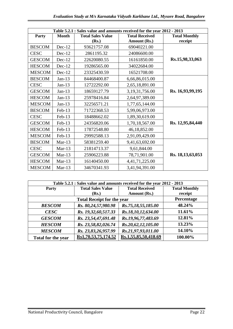| Table 5.2.1 : Sales value and amounts received for the year 2012 - 2013 |              |                          |                       |                      |  |  |  |
|-------------------------------------------------------------------------|--------------|--------------------------|-----------------------|----------------------|--|--|--|
| Party                                                                   | <b>Month</b> | <b>Total Sales Value</b> | <b>Total Received</b> | <b>Total Monthly</b> |  |  |  |
|                                                                         |              | (Rs.)                    | Amount (Rs.)          | receipt              |  |  |  |
| <b>BESCOM</b>                                                           | $Dec-12$     | 93621757.08              | 69040221.00           |                      |  |  |  |
| <b>CESC</b>                                                             | $Dec-12$     | 2861195.32               | 24086600.00           |                      |  |  |  |
| <b>GESCOM</b>                                                           | $Dec-12$     | 22620080.55              | 16161850.00           | Rs.15,98,33,063      |  |  |  |
| <b>HESCOM</b>                                                           | $Dec-12$     | 19286565.00              | 34022684.00           |                      |  |  |  |
| <b>MESCOM</b>                                                           | $Dec-12$     | 23325430.59              | 16521708.00           |                      |  |  |  |
| <b>BESCOM</b>                                                           | $Jan-13$     | 84468400.87              | 6,66,86,015.00        |                      |  |  |  |
| <b>CESC</b>                                                             | $Jan-13$     | 12722292.00              | 2,65,18,891.00        |                      |  |  |  |
| <b>GESCOM</b>                                                           | $Jan-13$     | 18659127.79              | 3, 19, 31, 756.00     | Rs. 16,93,99,195     |  |  |  |
| <b>HESCOM</b>                                                           | $Jan-13$     | 25978416.84              | 2,64,97,389.00        |                      |  |  |  |
| <b>MESCOM</b>                                                           | $Jan-13$     | 32256571.21              | 1,77,65,144.00        |                      |  |  |  |
| <b>BESCOM</b>                                                           | Feb-13       | 71722368.53              | 5,99,06,973.00        |                      |  |  |  |
| <b>CESC</b>                                                             | Feb-13       | 18488662.02              | 1,89,30,619.00        |                      |  |  |  |
| <b>GESCOM</b>                                                           | Feb-13       | 24356820.06              | 1,70,18,567.00        | Rs. 12,95,84,440     |  |  |  |
| <b>HESCOM</b>                                                           | Feb-13       | 17872548.80              | 46,18,852.00          |                      |  |  |  |
| <b>MESCOM</b>                                                           | Feb-13       | 29992588.13              | 2,91,09,429.00        |                      |  |  |  |
| <b>BESCOM</b>                                                           | $Mar-13$     | 58381259.40              | 9,41,63,692.00        |                      |  |  |  |
| <b>CESC</b>                                                             | $Mar-13$     | 21814713.37              | 9,61,844.00           |                      |  |  |  |
| <b>GESCOM</b>                                                           | $Mar-13$     | 25906223.88              | 78,71,901.00          | Rs. 18, 13, 63, 053  |  |  |  |
| <b>HESCOM</b>                                                           | $Mar-13$     | 16140450.00              | 4,41,71,225.00        |                      |  |  |  |
| <b>MESCOM</b>                                                           | $Mar-13$     | 34670341.93              | 3,41,94,391.00        |                      |  |  |  |

| Table 5.2.1 : Sales value and amounts received for the year 2012 - 2013 |                                   |                       |                      |  |  |  |  |  |
|-------------------------------------------------------------------------|-----------------------------------|-----------------------|----------------------|--|--|--|--|--|
| <b>Party</b>                                                            | <b>Total Sales Value</b>          | <b>Total Received</b> | <b>Total Monthly</b> |  |  |  |  |  |
|                                                                         | (Rs.)                             | Amount (Rs.)          | receipt              |  |  |  |  |  |
|                                                                         | <b>Total Receipt for the year</b> |                       |                      |  |  |  |  |  |
| <b>BESCOM</b>                                                           | Rs. 80,24,57,980.98               | Rs.75,18,55,185.00    | 48.24%               |  |  |  |  |  |
| <b>CESC</b>                                                             | Rs. 19,32,60,517.33               | Rs.18,10,12,634.00    | 11.61%               |  |  |  |  |  |
| <b>GESCOM</b>                                                           | Rs. 23,54,47,691.48               | Rs.19,96,77,483.69    | 12.81%               |  |  |  |  |  |
| <b>HESCOM</b>                                                           | Rs. 23,58,82,026.74               | Rs.20,62,12,105.00    | 13.23%               |  |  |  |  |  |
| <b>MESCOM</b>                                                           | Rs. 23,83,26,957.99               | Rs.21,97,93,011.00    | 14.10%               |  |  |  |  |  |
| Total for the year                                                      | Rs1,70,53,75,174.52               | Rs.1,55,85,50,418.69  | 100.00%              |  |  |  |  |  |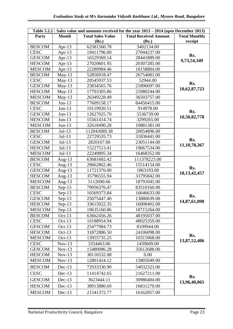| Table 5.2.2 : Sales value and amounts received for the year 2013 – 2014 (upto December 2013) |              |                          |                              |                      |  |
|----------------------------------------------------------------------------------------------|--------------|--------------------------|------------------------------|----------------------|--|
| Party                                                                                        | <b>Month</b> | <b>Total Sales Value</b> | <b>Total Received Amount</b> | <b>Total Monthly</b> |  |
|                                                                                              |              | (Rs.)                    | (Rs.)                        | receipt              |  |
| <b>BESCOM</b>                                                                                | Apr-13       | 62581560.78              | 3402134.00                   |                      |  |
| <b>CESC</b>                                                                                  | Apr- $13$    | 19411796.00              | 27044237.00                  | Rs.                  |  |
| <b>GESCOM</b>                                                                                | Apr- $13$    | 16529369.14              | 28441889.00                  | 9,73,54,349          |  |
| <b>HESCOM</b>                                                                                | Apr- $13$    | 27020601.95              | 20307285.00                  |                      |  |
| <b>MESCOM</b>                                                                                | Apr- $13$    | 22280984.46              | 18158804.00                  |                      |  |
| <b>BESCOM</b>                                                                                | $May-13$     | 52856918.47              | 26754081.00                  |                      |  |
| <b>CESC</b>                                                                                  | $May-13$     | 20545937.53              | 52944.00                     | Rs.                  |  |
| <b>GESCOM</b>                                                                                | $May-13$     | 23834565.76              | 21896697.00                  | 10,62,87,723         |  |
| <b>HESCOM</b>                                                                                | $May-13$     | 17703305.86              | 21080244.00                  |                      |  |
| <b>MESCOM</b>                                                                                | $May-13$     | 26349228.49              | 36503757.00                  |                      |  |
| <b>BESCOM</b>                                                                                | $Jun-13$     | 77609158.17              | 84450415.00                  |                      |  |
| <b>CESC</b>                                                                                  | $Jun-13$     | 19119920.51              | 914978.00                    | Rs.                  |  |
| <b>GESCOM</b>                                                                                | $Jun-13$     | 12627025.70              | 5536739.00                   | 10,50,82,778         |  |
| <b>HESCOM</b>                                                                                | $Jun-13$     | 15561414.74              | 3299265.00                   |                      |  |
| <b>MESCOM</b>                                                                                | $Jun-13$     | 32618490.28              | 10881381.00                  |                      |  |
| <b>BESCOM</b>                                                                                | $Jul-13$     | 112043089.38             | 20054896.00                  |                      |  |
| <b>CESC</b>                                                                                  | $Jul-13$     | 22729535.73              | 31836441.00                  |                      |  |
| <b>GESCOM</b>                                                                                | $Jul-13$     | 2820107.00               | 23051144.00                  | Rs.                  |  |
| <b>HESCOM</b>                                                                                | $Jul-13$     | 15227513.41              | 19667534.00                  | 11,10,78,367         |  |
| <b>MESCOM</b>                                                                                | $Jul-13$     | 22249895.34              | 16468352.00                  |                      |  |
| <b>BESCOM</b>                                                                                | Aug- $13$    | 63681602.42              | 111378223.00                 |                      |  |
| <b>CESC</b>                                                                                  | Aug- $13$    | 29662862.46              | 15514154.00                  | Rs.                  |  |
| <b>GESCOM</b>                                                                                | Aug- $13$    | 11721376.00              | 1863193.00                   | 18, 13, 42, 457      |  |
| <b>HESCOM</b>                                                                                | Aug- $13$    | 35796555.94              | 33795842.00                  |                      |  |
| <b>MESCOM</b>                                                                                | Aug- $13$    | 5112690.66               | 18791045.00                  |                      |  |
| <b>BESCOM</b>                                                                                | $Sep-13$     | 79956376.47              | 83510160.00                  |                      |  |
| <b>CESC</b>                                                                                  | $Sep-13$     | 16569373.84              | 16646633.00                  | Rs.                  |  |
| <b>GESCOM</b>                                                                                | $Sep-13$     | 25075447.40              | 13880639.00                  | 14,87,61,098         |  |
| <b>HESCOM</b>                                                                                | $Sep-13$     | 33615022.35              | 16008402.00                  |                      |  |
| <b>MESCOM</b>                                                                                | $Sep-13$     | 19635160.86              | 18715264.00                  |                      |  |
| <b>BESCOM</b>                                                                                | $Oct-13$     | 63662456.26              | 48195037.00                  |                      |  |
| <b>CESC</b>                                                                                  | $Oct-13$     | 10188954.94              | 48025359.00                  |                      |  |
| <b>GESCOM</b>                                                                                | Oct- $13$    | 25477984.73              | 8109944.00                   |                      |  |
| <b>HESCOM</b>                                                                                | Oct- $13$    | 31872886.50              | 24106098.00                  |                      |  |
| <b>MESCOM</b>                                                                                | Oct- $13$    | 13955735.25              | 10315968.00                  | Rs.<br>13,87,52,406  |  |
| <b>CESC</b>                                                                                  | $Nov-13$     | 3354463.06               | 1439609.00                   |                      |  |
| <b>GESCOM</b>                                                                                | $Nov-13$     | 15480086.28              | 35612688.00                  |                      |  |
| <b>HESCOM</b>                                                                                | $Nov-13$     | 30116532.08              | 0.00                         |                      |  |
| <b>MESCOM</b>                                                                                | $Nov-13$     | 12801424.12              | 15805049.00                  |                      |  |
| <b>BESCOM</b>                                                                                | $Dec-13$     | 72933330.90              | 54032323.00                  |                      |  |
| <b>CESC</b>                                                                                  | $Dec-13$     | 11414742.65              | 21627211.00                  |                      |  |
| <b>GESCOM</b>                                                                                | $Dec-13$     | 3623444.11               | 30986404.00                  | Rs.<br>13,96,40,065  |  |
| <b>HESCOM</b>                                                                                | $Dec-13$     | 38913880.69              | 16831270.00                  |                      |  |
| <b>MESCOM</b>                                                                                | Dec-13       | 21541372.77              | 16162857.00                  |                      |  |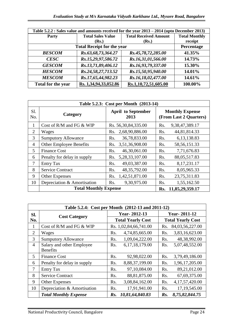|                    | Table 5.2.2 : Sales value and amounts received for the year 2013 – 2014 (upto December 2013) |                              |                      |  |  |  |  |
|--------------------|----------------------------------------------------------------------------------------------|------------------------------|----------------------|--|--|--|--|
| <b>Party</b>       | <b>Total Sales Value</b>                                                                     | <b>Total Received Amount</b> | <b>Total Monthly</b> |  |  |  |  |
|                    | ( <b>Rs.</b> )                                                                               | (Rs.)                        | receipt              |  |  |  |  |
|                    | <b>Total Receipt for the year</b>                                                            |                              |                      |  |  |  |  |
| <b>BESCOM</b>      | Rs.63,68,73,364.27                                                                           | Rs.45,78,72,285.00           | 41.35%               |  |  |  |  |
| <b>CESC</b>        | Rs.15,29,97,586.72                                                                           | Rs.16,31,01,566.00           | 14.73%               |  |  |  |  |
| <b>GESCOM</b>      | Rs.13,71,89,406.12                                                                           | Rs.16,93,79,337.00           | 15.30%               |  |  |  |  |
| <b>HESCOM</b>      | Rs.24,58,27,713.52                                                                           | Rs.15,50,95,940.00           | 14.01%               |  |  |  |  |
| <b>MESCOM</b>      | Rs.17,65,44,982.23                                                                           | Rs.16,18,02,477.00           | 14.61%               |  |  |  |  |
| Total for the year | Rs. 1,34,94,33,052.86                                                                        | Rs.1,10,72,51,605.00         | 100.00%              |  |  |  |  |

|                | Table 5.2.3: Cost per Month (2013-14) |                                                                                       |                                 |  |  |  |  |
|----------------|---------------------------------------|---------------------------------------------------------------------------------------|---------------------------------|--|--|--|--|
| S1.<br>No.     | Category                              | <b>Monthly Expense</b><br><b>April to September</b><br>(From Last 2 Quarters)<br>2013 |                                 |  |  |  |  |
| 1              | Cost of $R/M$ and $FG & WIP$          | Rs. 56, 30, 84, 335.00                                                                | 9,38,47,389.17<br>Rs.           |  |  |  |  |
| $\overline{2}$ | Wages                                 | 2,68,90,886.00<br>Rs.                                                                 | 44,81,814.33<br>Rs.             |  |  |  |  |
| 3              | <b>Sumputory Allowance</b>            | 36,78,833.00<br>R <sub>s</sub> .                                                      | 6,13,138.83<br>Rs.              |  |  |  |  |
| $\overline{4}$ | <b>Other Employee Benefits</b>        | 3,51,36,908.00<br>Rs.                                                                 | 58, 56, 151. 33<br>Rs.          |  |  |  |  |
| 5              | <b>Finance Cost</b>                   | 46,30,061.00<br>R <sub>s</sub> .                                                      | 7,71,676.83<br>Rs.              |  |  |  |  |
| 6              | Penalty for delay in supply           | 5,28,33,107.00<br>Rs.                                                                 | 88,05,517.83<br>Rs.             |  |  |  |  |
| 7              | <b>Entry Tax</b>                      | 49,03,387.00<br>Rs.                                                                   | 8,17,231.17<br>Rs.              |  |  |  |  |
| 8              | <b>Service Contract</b>               | 48, 35, 792.00<br>Rs.                                                                 | 8,05,965.33<br>Rs.              |  |  |  |  |
| 9              | <b>Other Expenses</b>                 | 1,42,51,871.00<br>Rs.                                                                 | 23,75,311.83<br>Rs.             |  |  |  |  |
| 10             | Depreciation & Amortisation           | 9,30,975.00<br>Rs.                                                                    | R <sub>s</sub> .<br>1,55,162.50 |  |  |  |  |
|                | <b>Total Monthly Expense</b>          |                                                                                       | 11,85,29,359.17<br>Rs.          |  |  |  |  |

|                | Table 5.2.4: Cost per Month (2012-13 and 2011-12) |                  |                          |                          |                   |  |  |
|----------------|---------------------------------------------------|------------------|--------------------------|--------------------------|-------------------|--|--|
| SI.            |                                                   |                  | <b>Year-2012-13</b>      | <b>Year-2011-12</b>      |                   |  |  |
| No.            | <b>Cost Category</b>                              |                  | <b>Total Yearly Cost</b> | <b>Total Yearly Cost</b> |                   |  |  |
| 1              | Cost of R/M and FG & WIP                          |                  | Rs. 1,02,84,66,741.00    | Rs.                      | 84,03,56,227.00   |  |  |
| $\overline{2}$ | Wages                                             | Rs.              | 4,74,85,665.00           | Rs.                      | 3,83,16,623.00    |  |  |
| 3              | <b>Sumputory Allowance</b>                        | Rs.              | 1,09,04,222.00           | Rs.                      | 48,38,992.00      |  |  |
| $\overline{4}$ | Salary and other Employee                         | R <sub>s</sub> . | 6,17,18,179.00           | Rs.                      | 5,07,48,552.00    |  |  |
|                | <b>Benefits</b>                                   |                  |                          |                          |                   |  |  |
| 5              | <b>Finance Cost</b>                               | Rs.              | 92,98,022.00             | Rs.                      | 3,79,49,186.00    |  |  |
| 6              | Penalty for delay in supply                       | Rs.              | 8,88,37,199.00           | Rs.                      | 1,96,17,205.00    |  |  |
| $\tau$         | <b>Entry Tax</b>                                  | R <sub>s</sub> . | 97,10,084.00             | Rs.                      | 89,21,012.00      |  |  |
| 8              | <b>Service Contract</b>                           | Rs.              | 88, 81, 875.00           | Rs.                      | 67,69,375.00      |  |  |
| 9              | <b>Other Expenses</b>                             | Rs.              | 3,08,84,162.00           | Rs.                      | 4, 17, 57, 420.00 |  |  |
| 10             | Depreciation & Amortisation                       | R <sub>s</sub> . | 17,91,941.00             | Rs.                      | 17, 19, 545.00    |  |  |
|                | <b>Total Monthly Expense</b>                      | $\mathbf{R}$ s.  | 10,81,64,840.83          | $\mathbf{R}$ s.          | 8,75,82,844.75    |  |  |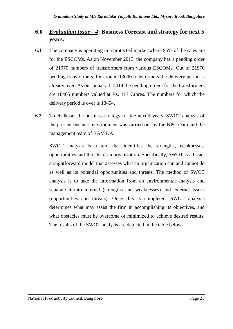## **6.0** *Evaluation Issue - 4***: Business Forecast and strategy for next 5 years.**

- **6.1** The company is operating in a protected market where 95% of the sales are for the ESCOMs. As on November 2013, the company has a pending order of 21970 numbers of transformers from various ESCOMs. Out of 21970 pending transformers, for around 13000 transformers the delivery period is already over. As on January 1, 2014 the pending orders for the transformers are 18465 numbers valued at Rs. 117 Crores. The numbers for which the delivery period is over is 13454.
- **6.2** To chalk out the business strategy for the next 5 years, SWOT analysis of the present business environment was carried out by the NPC team and the management team of KAVIKA.

SWOT analysis is a tool that identifies the **s**trengths, **w**eaknesses, **o**pportunities and **t**hreats of an organization. Specifically, SWOT is a basic, straightforward model that assesses what an organization can and cannot do as well as its potential opportunities and threats. The method of SWOT analysis is to take the information from an environmental analysis and separate it into internal (strengths and weaknesses) and external issues (opportunities and threats). Once this is completed, SWOT analysis determines what may assist the firm in accomplishing its objectives, and what obstacles must be overcome or minimized to achieve desired results. The results of the SWOT analysis are depicted in the table below.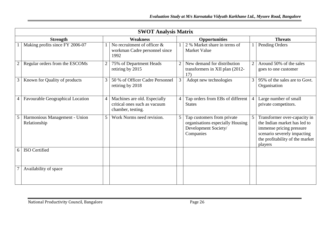|   | <b>SWOT Analysis Matrix</b>                   |                |                                                                                   |                |                                                                                                     |                |                                                                                                                                                                       |  |
|---|-----------------------------------------------|----------------|-----------------------------------------------------------------------------------|----------------|-----------------------------------------------------------------------------------------------------|----------------|-----------------------------------------------------------------------------------------------------------------------------------------------------------------------|--|
|   | <b>Strength</b>                               |                | <b>Weakness</b>                                                                   |                | <b>Opportunities</b>                                                                                |                | <b>Threats</b>                                                                                                                                                        |  |
|   | Making profits since FY 2006-07               |                | No recruitment of officer $\&$<br>workman Cadre personnel since<br>1992           |                | 2 % Market share in terms of<br><b>Market Value</b>                                                 |                | Pending Orders                                                                                                                                                        |  |
|   | Regular orders from the ESCOMs                | $\overline{2}$ | 75% of Department Heads<br>retiring by 2015                                       |                | New demand for distribution<br>transformers in XII plan (2012-<br>17)                               |                | Around 50% of the sales<br>goes to one customer                                                                                                                       |  |
|   | Known for Quality of products                 | 3              | 50 % of Officer Cadre Personnel<br>retiring by 2018                               | 3              | Adopt new technologies                                                                              | 3 <sup>1</sup> | 95% of the sales are to Govt.<br>Organisation                                                                                                                         |  |
|   | <b>Favourable Geographical Location</b>       | $\overline{4}$ | Machines are old. Especially<br>critical ones such as vacuum<br>chamber, testing. | $\overline{4}$ | Tap orders from EBs of different<br><b>States</b>                                                   | $\overline{4}$ | Large number of small<br>private competitors.                                                                                                                         |  |
|   | Harmonious Management - Union<br>Relationship | 5              | Work Norms need revision.                                                         | 5              | Tap customers from private<br>organisations especially Housing<br>Development Society/<br>Companies | 5              | Transformer over-capacity in<br>the Indian market has led to<br>immense pricing pressure<br>scenario severely impacting<br>the profitability of the market<br>players |  |
| 6 | ISO Certified                                 |                |                                                                                   |                |                                                                                                     |                |                                                                                                                                                                       |  |
|   | Availability of space                         |                |                                                                                   |                |                                                                                                     |                |                                                                                                                                                                       |  |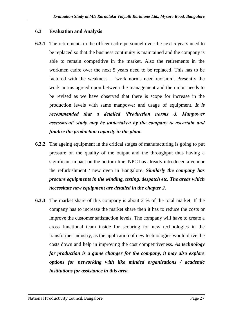#### **6.3 Evaluation and Analysis**

- **6.3.1** The retirements in the officer cadre personnel over the next 5 years need to be replaced so that the business continuity is maintained and the company is able to remain competitive in the market. Also the retirements in the workmen cadre over the next 5 years need to be replaced. This has to be factored with the weakness – 'work norms need revision'. Presently the work norms agreed upon between the management and the union needs to be revised as we have observed that there is scope for increase in the production levels with same manpower and usage of equipment. *It is recommended that a detailed 'Production norms & Manpower assessment' study may be undertaken by the company to ascertain and finalize the production capacity in the plant.*
- **6.3.2** The ageing equipment in the critical stages of manufacturing is going to put pressure on the quality of the output and the throughput thus having a significant impact on the bottom-line. NPC has already introduced a vendor the refurbishment / new oven in Bangalore. *Similarly the company has procure equipments in the winding, testing, despatch etc. The areas which necessitate new equipment are detailed in the chapter 2.*
- **6.3.3** The market share of this company is about 2 % of the total market. If the company has to increase the market share then it has to reduce the costs or improve the customer satisfaction levels. The company will have to create a cross functional team inside for scouring for new technologies in the transformer industry, as the application of new technologies would drive the costs down and help in improving the cost competitiveness. *As technology for production is a game changer for the company, it may also explore options for networking with like minded organizations / academic institutions for assistance in this area.*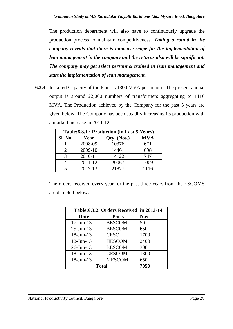The production department will also have to continuously upgrade the production process to maintain competitiveness. *Taking a round in the company reveals that there is immense scope for the implementation of lean management in the company and the returns also will be significant. The company may get select personnel trained in lean management and start the implementation of lean management.*

**6.3.4** Installed Capacity of the Plant is 1300 MVA per annum. The present annual output is around 22,000 numbers of transformers aggregating to 1116 MVA. The Production achieved by the Company for the past 5 years are given below. The Company has been steadily increasing its production with a marked increase in 2011-12.

|                | Table: 6.3.1 : Production (in Last 5 Years) |             |            |  |  |  |  |
|----------------|---------------------------------------------|-------------|------------|--|--|--|--|
| <b>Sl. No.</b> | Year                                        | Qty. (Nos.) | <b>MVA</b> |  |  |  |  |
|                | 2008-09                                     | 10376       | 671        |  |  |  |  |
| $\mathcal{D}$  | 2009-10                                     | 14461       | 698        |  |  |  |  |
| $\mathbf 3$    | 2010-11                                     | 14122       | 747        |  |  |  |  |
|                | 2011-12                                     | 20067       | 1009       |  |  |  |  |
|                | 2012-13                                     | 21877       | 1116       |  |  |  |  |

The orders received every year for the past three years from the ESCOMS are depicted below:

| Table: 6.3.2: Orders Received in 2013-14 |               |            |  |  |  |  |
|------------------------------------------|---------------|------------|--|--|--|--|
| <b>Date</b>                              | <b>Party</b>  | <b>Nos</b> |  |  |  |  |
| $17$ -Jun- $13$                          | <b>BESCOM</b> | 50         |  |  |  |  |
| $25$ -Jun-13                             | <b>BESCOM</b> | 650        |  |  |  |  |
| $18$ -Jun- $13$                          | <b>CESC</b>   | 1700       |  |  |  |  |
| $18$ -Jun- $13$                          | <b>HESCOM</b> | 2400       |  |  |  |  |
| $26$ -Jun-13                             | <b>BESCOM</b> | 300        |  |  |  |  |
| $18$ -Jun- $13$                          | <b>GESCOM</b> | 1300       |  |  |  |  |
| $18$ -Jun- $13$                          | <b>MESCOM</b> | 650        |  |  |  |  |
|                                          | <b>Total</b>  | 7050       |  |  |  |  |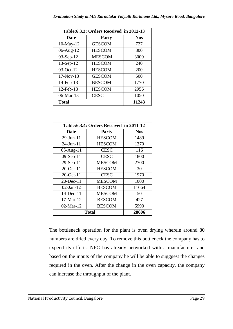|                 | Table: 6.3.3: Orders Received in 2012-13 |            |  |  |  |  |
|-----------------|------------------------------------------|------------|--|--|--|--|
| <b>Date</b>     | <b>Party</b>                             | <b>Nos</b> |  |  |  |  |
| $10$ -May- $12$ | <b>GESCOM</b>                            | 727        |  |  |  |  |
| 06-Aug-12       | <b>HESCOM</b>                            | 800        |  |  |  |  |
| $03-Sep-12$     | <b>MESCOM</b>                            | 3000       |  |  |  |  |
| $13-Sep-12$     | <b>HESCOM</b>                            | 240        |  |  |  |  |
| $03-Oct-12$     | <b>HESCOM</b>                            | 200        |  |  |  |  |
| $17-Nov-13$     | <b>GESCOM</b>                            | 500        |  |  |  |  |
| 14-Feb-13       | <b>BESCOM</b>                            | 1770       |  |  |  |  |
| 12-Feb-13       | <b>HESCOM</b>                            | 2956       |  |  |  |  |
| $06$ -Mar-13    | <b>CESC</b>                              | 1050       |  |  |  |  |
| <b>Total</b>    |                                          | 11243      |  |  |  |  |

|                        | Table: 6.3.4: Orders Received in 2011-12 |            |
|------------------------|------------------------------------------|------------|
| Date                   | <b>Party</b>                             | <b>Nos</b> |
| $29$ -Jun-11           | <b>HESCOM</b>                            | 1489       |
| $24 - \text{Jun} - 11$ | <b>HESCOM</b>                            | 1370       |
| $05$ -Aug-11           | <b>CESC</b>                              | 116        |
| $09-Sep-11$            | <b>CESC</b>                              | 1800       |
| 29-Sep-11              | <b>MESCOM</b>                            | 2700       |
| $20$ -Oct-11           | <b>HESCOM</b>                            | 30         |
| $20$ -Oct-11           | <b>CESC</b>                              | 1970       |
| $20$ -Dec-11           | <b>MESCOM</b>                            | 1000       |
| $02$ -Jan-12           | <b>BESCOM</b>                            | 11664      |
| $14$ -Dec-11           | <b>MESCOM</b>                            | 50         |
| $17-Mar-12$            | <b>BESCOM</b>                            | 427        |
| $02$ -Mar-12           | <b>BESCOM</b>                            | 5990       |
|                        | <b>Total</b>                             | 28606      |

 The bottleneck operation for the plant is oven drying wherein around 80 numbers are dried every day. To remove this bottleneck the company has to expend its efforts. NPC has already networked with a manufacturer and based on the inputs of the company he will be able to sugggest the changes required in the oven. After the change in the oven capacity, the company can increase the throughput of the plant.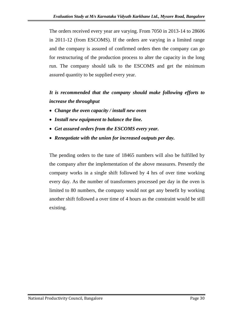The orders received every year are varying. From 7050 in 2013-14 to 28606 in 2011-12 (from ESCOMS). If the orders are varying in a limited range and the company is assured of confirmed orders then the company can go for restructuring of the production process to alter the capacity in the long run. The company should talk to the ESCOMS and get the minimum assured quantity to be supplied every year.

## *It is recommended that the company should make following efforts to increase the throughput*

- *Change the oven capacity / install new oven*
- *Install new equipment to balance the line.*
- *Get assured orders from the ESCOMS every year.*
- *Renegotiate with the union for increased outputs per day.*

The pending orders to the tune of 18465 numbers will also be fulfilled by the company after the implementation of the above measures. Presently the company works in a single shift followed by 4 hrs of over time working every day. As the number of transformers processed per day in the oven is limited to 80 numbers, the company would not get any benefit by working another shift followed a over time of 4 hours as the constraint would be still existing.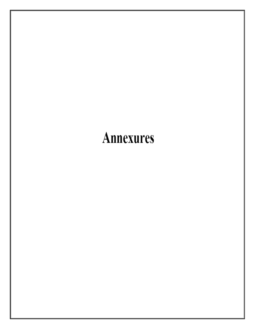# **Annexures**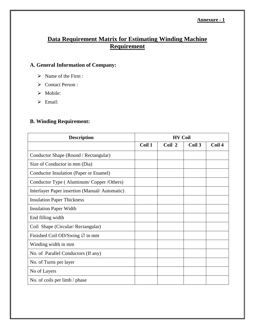#### **Data Requirement Matrix for Estimating Winding Machine Requirement**

#### **A. General Information of Company:**

- $\triangleright$  Name of the Firm :
- Contact Person :
- > Mobile:
- $\triangleright$  Email:

#### **B. Winding Requirement:**

| <b>Description</b>                            | <b>HV Coil</b> |        |        |        |
|-----------------------------------------------|----------------|--------|--------|--------|
|                                               | Coil 1         | Coil 2 | Coil 3 | Coil 4 |
| Conductor Shape (Round / Rectangular)         |                |        |        |        |
| Size of Conductor in mm (Dia)                 |                |        |        |        |
| Conductor Insulation (Paper or Enamel)        |                |        |        |        |
| Conductor Type (Aluminum/Copper/Others)       |                |        |        |        |
| Interlayer Paper insertion (Manual/Automatic) |                |        |        |        |
| <b>Insulation Paper Thickness</b>             |                |        |        |        |
| <b>Insulation Paper Width</b>                 |                |        |        |        |
| End filling width                             |                |        |        |        |
| Coil Shape (Circular/Rectangular)             |                |        |        |        |
| Finished Coil OD/Swing $\varnothing$ in mm    |                |        |        |        |
| Winding width in mm                           |                |        |        |        |
| No. of Parallel Conductors (If any)           |                |        |        |        |
| No. of Turns per layer                        |                |        |        |        |
| No of Layers                                  |                |        |        |        |
| No. of coils per limb / phase                 |                |        |        |        |